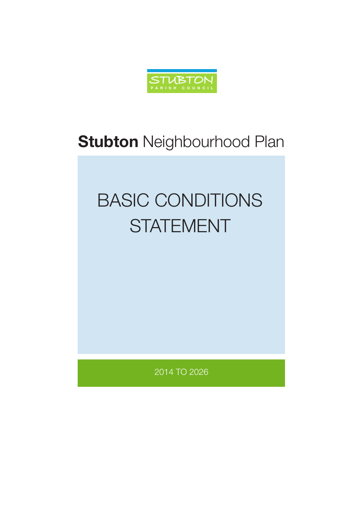

## **Stubton** Neighbourhood Plan

# BASIC CONDITIONS **STATEMENT**

2014 TO 2026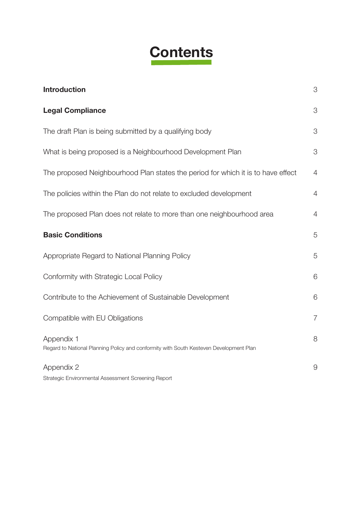## **Contents**

| <b>Introduction</b>                                                                                  | 3              |
|------------------------------------------------------------------------------------------------------|----------------|
| <b>Legal Compliance</b>                                                                              | 3              |
| The draft Plan is being submitted by a qualifying body                                               | 3              |
| What is being proposed is a Neighbourhood Development Plan                                           | 3              |
| The proposed Neighbourhood Plan states the period for which it is to have effect                     | 4              |
| The policies within the Plan do not relate to excluded development                                   | $\overline{4}$ |
| The proposed Plan does not relate to more than one neighbourhood area                                | 4              |
| <b>Basic Conditions</b>                                                                              | 5              |
| Appropriate Regard to National Planning Policy                                                       | 5              |
| Conformity with Strategic Local Policy                                                               | 6              |
| Contribute to the Achievement of Sustainable Development                                             | 6              |
| Compatible with EU Obligations                                                                       | $\overline{7}$ |
| Appendix 1<br>Regard to National Planning Policy and conformity with South Kesteven Development Plan | 8              |
| Appendix 2                                                                                           | $\Theta$       |
| Strategic Environmental Assessment Screening Report                                                  |                |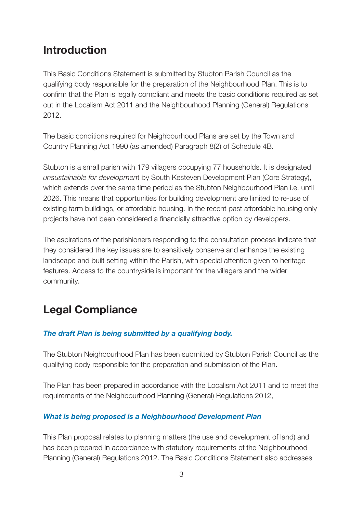### **Introduction**

This Basic Conditions Statement is submitted by Stubton Parish Council as the qualifying body responsible for the preparation of the Neighbourhood Plan. This is to confirm that the Plan is legally compliant and meets the basic conditions required as set out in the Localism Act 2011 and the Neighbourhood Planning (General) Regulations 2012.

The basic conditions required for Neighbourhood Plans are set by the Town and Country Planning Act 1990 (as amended) Paragraph 8(2) of Schedule 4B.

Stubton is a small parish with 179 villagers occupying 77 households. It is designated *unsustainable for developmen*t by South Kesteven Development Plan (Core Strategy), which extends over the same time period as the Stubton Neighbourhood Plan i.e. until 2026. This means that opportunities for building development are limited to re-use of existing farm buildings, or affordable housing. In the recent past affordable housing only projects have not been considered a financially attractive option by developers.

The aspirations of the parishioners responding to the consultation process indicate that they considered the key issues are to sensitively conserve and enhance the existing landscape and built setting within the Parish, with special attention given to heritage features. Access to the countryside is important for the villagers and the wider community.

## **Legal Compliance**

#### *The draft Plan is being submitted by a qualifying body.*

The Stubton Neighbourhood Plan has been submitted by Stubton Parish Council as the qualifying body responsible for the preparation and submission of the Plan.

The Plan has been prepared in accordance with the Localism Act 2011 and to meet the requirements of the Neighbourhood Planning (General) Regulations 2012,

#### *What is being proposed is a Neighbourhood Development Plan*

This Plan proposal relates to planning matters (the use and development of land) and has been prepared in accordance with statutory requirements of the Neighbourhood Planning (General) Regulations 2012. The Basic Conditions Statement also addresses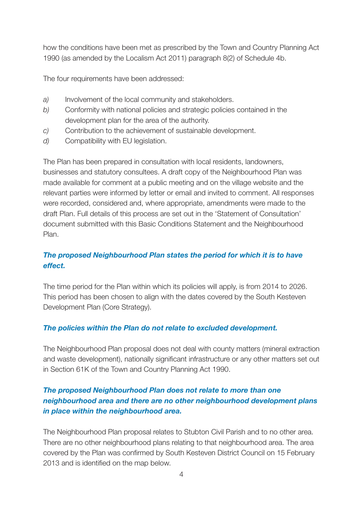how the conditions have been met as prescribed by the Town and Country Planning Act 1990 (as amended by the Localism Act 2011) paragraph 8(2) of Schedule 4b.

The four requirements have been addressed:

- *a)* Involvement of the local community and stakeholders.
- *b)* Conformity with national policies and strategic policies contained in the development plan for the area of the authority.
- *c)* Contribution to the achievement of sustainable development.
- *d)* Compatibility with EU legislation.

The Plan has been prepared in consultation with local residents, landowners, businesses and statutory consultees. A draft copy of the Neighbourhood Plan was made available for comment at a public meeting and on the village website and the relevant parties were informed by letter or email and invited to comment. All responses were recorded, considered and, where appropriate, amendments were made to the draft Plan. Full details of this process are set out in the 'Statement of Consultation' document submitted with this Basic Conditions Statement and the Neighbourhood Plan.

#### *The proposed Neighbourhood Plan states the period for which it is to have effect.*

The time period for the Plan within which its policies will apply, is from 2014 to 2026. This period has been chosen to align with the dates covered by the South Kesteven Development Plan (Core Strategy).

#### *The policies within the Plan do not relate to excluded development.*

The Neighbourhood Plan proposal does not deal with county matters (mineral extraction and waste development), nationally significant infrastructure or any other matters set out in Section 61K of the Town and Country Planning Act 1990.

#### *The proposed Neighbourhood Plan does not relate to more than one neighbourhood area and there are no other neighbourhood development plans in place within the neighbourhood area.*

The Neighbourhood Plan proposal relates to Stubton Civil Parish and to no other area. There are no other neighbourhood plans relating to that neighbourhood area. The area covered by the Plan was confirmed by South Kesteven District Council on 15 February 2013 and is identified on the map below.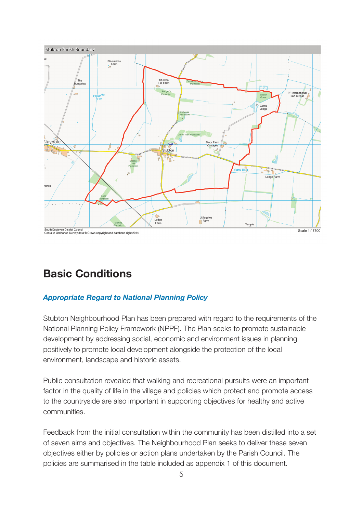

### **Basic Conditions**

#### *Appropriate Regard to National Planning Policy*

Stubton Neighbourhood Plan has been prepared with regard to the requirements of the National Planning Policy Framework (NPPF). The Plan seeks to promote sustainable development by addressing social, economic and environment issues in planning positively to promote local development alongside the protection of the local environment, landscape and historic assets.

Public consultation revealed that walking and recreational pursuits were an important factor in the quality of life in the village and policies which protect and promote access to the countryside are also important in supporting objectives for healthy and active communities.

Feedback from the initial consultation within the community has been distilled into a set of seven aims and objectives. The Neighbourhood Plan seeks to deliver these seven objectives either by policies or action plans undertaken by the Parish Council. The policies are summarised in the table included as appendix 1 of this document.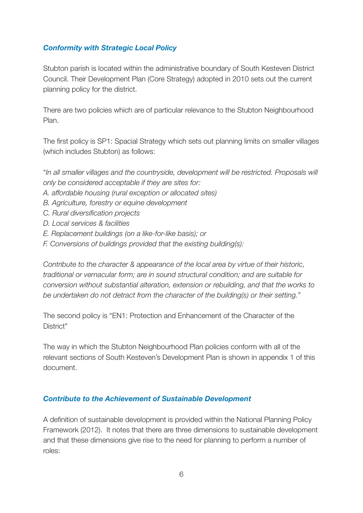#### *Conformity with Strategic Local Policy*

Stubton parish is located within the administrative boundary of South Kesteven District Council. Their Development Plan (Core Strategy) adopted in 2010 sets out the current planning policy for the district.

There are two policies which are of particular relevance to the Stubton Neighbourhood Plan.

The first policy is SP1: Spacial Strategy which sets out planning limits on smaller villages (which includes Stubton) as follows:

"*In all smaller villages and the countryside, development will be restricted. Proposals will only be considered acceptable if they are sites for:*

- *A. affordable housing (rural exception or allocated sites)*
- *B. Agriculture, forestry or equine development*
- *C. Rural diversification projects*
- *D. Local services & facilities*
- *E. Replacement buildings (on a like-for-like basis); or*
- *F. Conversions of buildings provided that the existing building(s):*

*Contribute to the character & appearance of the local area by virtue of their historic, traditional or vernacular form; are in sound structural condition; and are suitable for conversion without substantial alteration, extension or rebuilding, and that the works to be undertaken do not detract from the character of the building(s) or their setting."*

The second policy is "EN1: Protection and Enhancement of the Character of the District"

The way in which the Stubton Neighbourhood Plan policies conform with all of the relevant sections of South Kesteven's Development Plan is shown in appendix 1 of this document.

#### *Contribute to the Achievement of Sustainable Development*

A definition of sustainable development is provided within the National Planning Policy Framework (2012). It notes that there are three dimensions to sustainable development and that these dimensions give rise to the need for planning to perform a number of roles: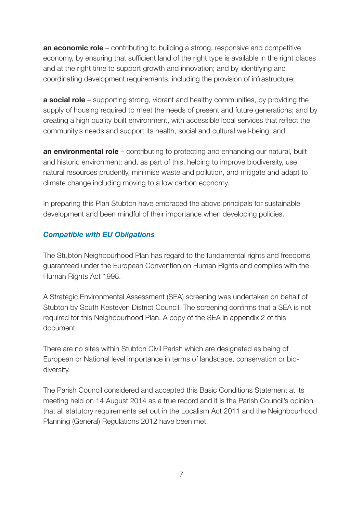**an economic role** – contributing to building a strong, responsive and competitive economy, by ensuring that sufficient land of the right type is available in the right places and at the right time to support growth and innovation; and by identifying and coordinating development requirements, including the provision of infrastructure;

**a social role** – supporting strong, vibrant and healthy communities, by providing the supply of housing required to meet the needs of present and future generations; and by creating a high quality built environment, with accessible local services that reflect the community's needs and support its health, social and cultural well-being; and

**an environmental role** – contributing to protecting and enhancing our natural, built and historic environment; and, as part of this, helping to improve biodiversity, use natural resources prudently, minimise waste and pollution, and mitigate and adapt to climate change including moving to a low carbon economy.

In preparing this Plan Stubton have embraced the above principals for sustainable development and been mindful of their importance when developing policies.

#### *Compatible with EU Obligations*

The Stubton Neighbourhood Plan has regard to the fundamental rights and freedoms guaranteed under the European Convention on Human Rights and complies with the Human Rights Act 1998.

A Strategic Environmental Assessment (SEA) screening was undertaken on behalf of Stubton by South Kesteven District Council. The screening confirms that a SEA is not required for this Neighbourhood Plan. A copy of the SEA in appendix 2 of this document.

There are no sites within Stubton Civil Parish which are designated as being of European or National level importance in terms of landscape, conservation or biodiversity.

The Parish Council considered and accepted this Basic Conditions Statement at its meeting held on 14 August 2014 as a true record and it is the Parish Council's opinion that all statutory requirements set out in the Localism Act 2011 and the Neighbourhood Planning (General) Regulations 2012 have been met.